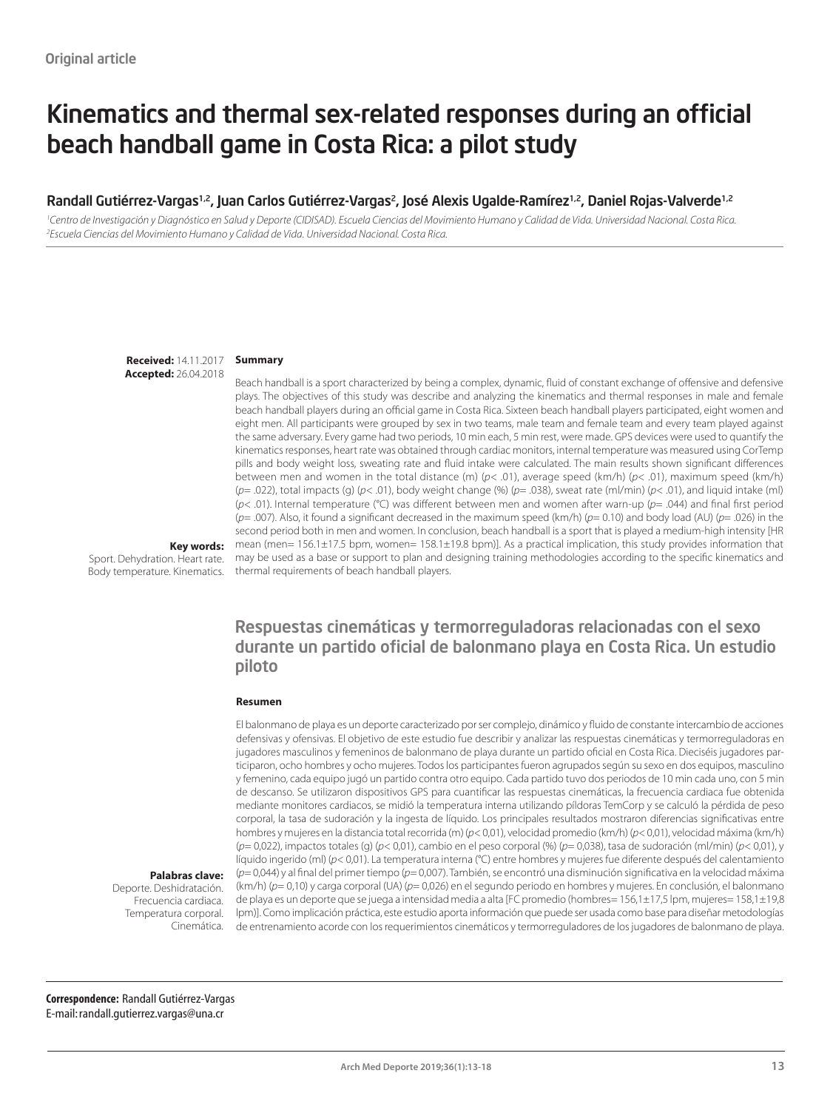# Kinematics and thermal sex-related responses during an official beach handball game in Costa Rica: a pilot study

#### Randall Gutiérrez-Vargas<sup>1,2</sup>, Juan Carlos Gutiérrez-Vargas<sup>2</sup>, José Alexis Ugalde-Ramírez<sup>1,2</sup>, Daniel Rojas-Valverde<sup>1,2</sup>

<sup>1</sup>Centro de Investigación y Diagnóstico en Salud y Deporte (CIDISAD). Escuela Ciencias del Movimiento Humano y Calidad de Vida. Universidad Nacional. Costa Rica. *2 Escuela Ciencias del Movimiento Humano y Calidad de Vida. Universidad Nacional. Costa Rica.*

> **Received:** 14.11.2017 **Accepted:** 26.04.2018

#### **Summary**

Beach handball is a sport characterized by being a complex, dynamic, fluid of constant exchange of offensive and defensive plays. The objectives of this study was describe and analyzing the kinematics and thermal responses in male and female beach handball players during an official game in Costa Rica. Sixteen beach handball players participated, eight women and eight men. All participants were grouped by sex in two teams, male team and female team and every team played against the same adversary. Every game had two periods, 10 min each, 5 min rest, were made. GPS devices were used to quantify the kinematics responses, heart rate was obtained through cardiac monitors, internal temperature was measured using CorTemp pills and body weight loss, sweating rate and fluid intake were calculated. The main results shown significant differences between men and women in the total distance (m) (*p*< .01), average speed (km/h) (*p*< .01), maximum speed (km/h) (*p*= .022), total impacts (g) (*p*< .01), body weight change (%) (*p*= .038), sweat rate (ml/min) (*p*< .01), and liquid intake (ml) (*p*< .01). Internal temperature (°C) was different between men and women after warn-up (*p*= .044) and final first period (*p*= .007). Also, it found a significant decreased in the maximum speed (km/h) (*p*= 0.10) and body load (AU) (*p*= .026) in the second period both in men and women. In conclusion, beach handball is a sport that is played a medium-high intensity [HR mean (men= 156.1±17.5 bpm, women= 158.1±19.8 bpm)]. As a practical implication, this study provides information that may be used as a base or support to plan and designing training methodologies according to the specific kinematics and thermal requirements of beach handball players.

**Key words:** 

Sport. Dehydration. Heart rate. Body temperature. Kinematics.

### Respuestas cinemáticas y termorreguladoras relacionadas con el sexo durante un partido oficial de balonmano playa en Costa Rica. Un estudio piloto

#### **Resumen**

El balonmano de playa es un deporte caracterizado por ser complejo, dinámico y fluido de constante intercambio de acciones defensivas y ofensivas. El objetivo de este estudio fue describir y analizar las respuestas cinemáticas y termorreguladoras en jugadores masculinos y femeninos de balonmano de playa durante un partido oficial en Costa Rica. Dieciséis jugadores participaron, ocho hombres y ocho mujeres. Todos los participantes fueron agrupados según su sexo en dos equipos, masculino y femenino, cada equipo jugó un partido contra otro equipo. Cada partido tuvo dos periodos de 10 min cada uno, con 5 min de descanso. Se utilizaron dispositivos GPS para cuantificar las respuestas cinemáticas, la frecuencia cardiaca fue obtenida mediante monitores cardiacos, se midió la temperatura interna utilizando píldoras TemCorp y se calculó la pérdida de peso corporal, la tasa de sudoración y la ingesta de líquido. Los principales resultados mostraron diferencias significativas entre hombres y mujeres en la distancia total recorrida (m) (*p*< 0,01), velocidad promedio (km/h) (*p*< 0,01), velocidad máxima (km/h) (*p*= 0,022), impactos totales (g) (*p*< 0,01), cambio en el peso corporal (%) (*p*= 0,038), tasa de sudoración (ml/min) (*p*< 0,01), y líquido ingerido (ml) (*p*< 0,01). La temperatura interna (°C) entre hombres y mujeres fue diferente después del calentamiento (*p*= 0,044) y al final del primer tiempo (*p*= 0,007). También, se encontró una disminución significativa en la velocidad máxima (km/h) (*p*= 0,10) y carga corporal (UA) (*p*= 0,026) en el segundo periodo en hombres y mujeres. En conclusión, el balonmano de playa es un deporte que se juega a intensidad media a alta [FC promedio (hombres= 156,1±17,5 lpm, mujeres= 158,1±19,8 lpm)]. Como implicación práctica, este estudio aporta información que puede ser usada como base para diseñar metodologías de entrenamiento acorde con los requerimientos cinemáticos y termorreguladores de los jugadores de balonmano de playa.

**Palabras clave:** 

Deporte. Deshidratación. Frecuencia cardiaca. Temperatura corporal. Cinemática.

**Correspondence:** Randall Gutiérrez-Vargas E-mail: randall.gutierrez.vargas@una.cr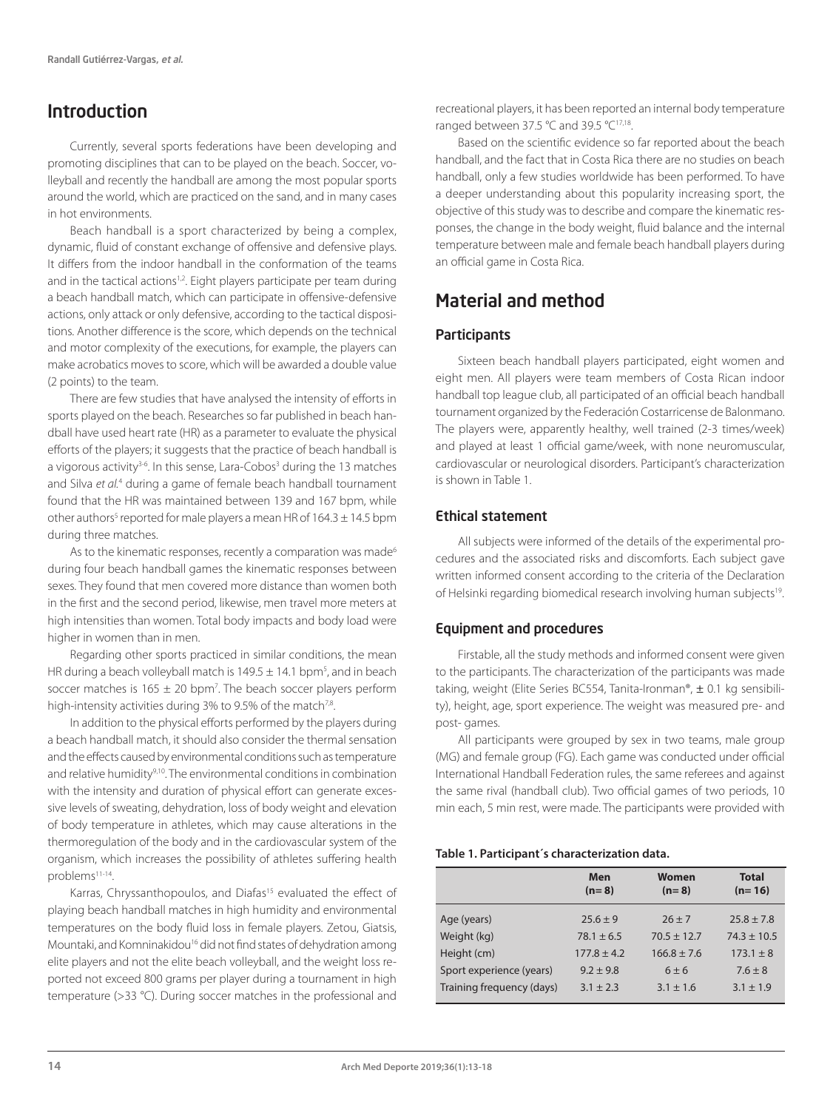## Introduction

Currently, several sports federations have been developing and promoting disciplines that can to be played on the beach. Soccer, volleyball and recently the handball are among the most popular sports around the world, which are practiced on the sand, and in many cases in hot environments.

Beach handball is a sport characterized by being a complex, dynamic, fluid of constant exchange of offensive and defensive plays. It differs from the indoor handball in the conformation of the teams and in the tactical actions<sup>1,2</sup>. Eight players participate per team during a beach handball match, which can participate in offensive-defensive actions, only attack or only defensive, according to the tactical dispositions. Another difference is the score, which depends on the technical and motor complexity of the executions, for example, the players can make acrobatics moves to score, which will be awarded a double value (2 points) to the team.

There are few studies that have analysed the intensity of efforts in sports played on the beach. Researches so far published in beach handball have used heart rate (HR) as a parameter to evaluate the physical efforts of the players; it suggests that the practice of beach handball is a vigorous activity<sup>3-6</sup>. In this sense, Lara-Cobos<sup>3</sup> during the 13 matches and Silva et al.<sup>4</sup> during a game of female beach handball tournament found that the HR was maintained between 139 and 167 bpm, while other authors<sup>5</sup> reported for male players a mean HR of  $164.3 \pm 14.5$  bpm during three matches.

As to the kinematic responses, recently a comparation was made<sup>6</sup> during four beach handball games the kinematic responses between sexes. They found that men covered more distance than women both in the first and the second period, likewise, men travel more meters at high intensities than women. Total body impacts and body load were higher in women than in men.

Regarding other sports practiced in similar conditions, the mean HR during a beach volleyball match is  $149.5 \pm 14.1$  bpm<sup>5</sup>, and in beach soccer matches is  $165 \pm 20$  bpm<sup>7</sup>. The beach soccer players perform high-intensity activities during 3% to 9.5% of the match<sup>7,8</sup>.

In addition to the physical efforts performed by the players during a beach handball match, it should also consider the thermal sensation and the effects caused by environmental conditions such as temperature and relative humidity<sup>9,10</sup>. The environmental conditions in combination with the intensity and duration of physical effort can generate excessive levels of sweating, dehydration, loss of body weight and elevation of body temperature in athletes, which may cause alterations in the thermoregulation of the body and in the cardiovascular system of the organism, which increases the possibility of athletes suffering health problems<sup>11-14</sup>.

Karras, Chryssanthopoulos, and Diafas<sup>15</sup> evaluated the effect of playing beach handball matches in high humidity and environmental temperatures on the body fluid loss in female players. Zetou, Giatsis, Mountaki, and Komninakidou<sup>16</sup> did not find states of dehydration among elite players and not the elite beach volleyball, and the weight loss reported not exceed 800 grams per player during a tournament in high temperature (>33 °C). During soccer matches in the professional and

recreational players, it has been reported an internal body temperature ranged between 37.5 °C and 39.5 °C17,18.

Based on the scientific evidence so far reported about the beach handball, and the fact that in Costa Rica there are no studies on beach handball, only a few studies worldwide has been performed. To have a deeper understanding about this popularity increasing sport, the objective of this study was to describe and compare the kinematic responses, the change in the body weight, fluid balance and the internal temperature between male and female beach handball players during an official game in Costa Rica.

## Material and method

#### **Participants**

Sixteen beach handball players participated, eight women and eight men. All players were team members of Costa Rican indoor handball top league club, all participated of an official beach handball tournament organized by the Federación Costarricense de Balonmano. The players were, apparently healthy, well trained (2-3 times/week) and played at least 1 official game/week, with none neuromuscular, cardiovascular or neurological disorders. Participant's characterization is shown in Table 1.

#### Ethical statement

All subjects were informed of the details of the experimental procedures and the associated risks and discomforts. Each subject gave written informed consent according to the criteria of the Declaration of Helsinki regarding biomedical research involving human subjects<sup>19</sup>.

#### Equipment and procedures

Firstable, all the study methods and informed consent were given to the participants. The characterization of the participants was made taking, weight (Elite Series BC554, Tanita-Ironman®, ± 0.1 kg sensibility), height, age, sport experience. The weight was measured pre- and post- games.

All participants were grouped by sex in two teams, male group (MG) and female group (FG). Each game was conducted under official International Handball Federation rules, the same referees and against the same rival (handball club). Two official games of two periods, 10 min each, 5 min rest, were made. The participants were provided with

#### **Table 1. Participant´s characterization data.**

|                           | Men<br>$(n=8)$  | Women<br>$(n=8)$ | <b>Total</b><br>$(n=16)$ |
|---------------------------|-----------------|------------------|--------------------------|
| Age (years)               | $25.6 \pm 9$    | $26 \pm 7$       | $25.8 \pm 7.8$           |
| Weight (kg)               | $78.1 \pm 6.5$  | $70.5 \pm 12.7$  | $74.3 \pm 10.5$          |
| Height (cm)               | $177.8 \pm 4.2$ | $166.8 \pm 7.6$  | $173.1 \pm 8$            |
| Sport experience (years)  | $9.2 + 9.8$     | $6 \pm 6$        | $7.6 \pm 8$              |
| Training frequency (days) | $3.1 \pm 2.3$   | $3.1 \pm 1.6$    | $3.1 \pm 1.9$            |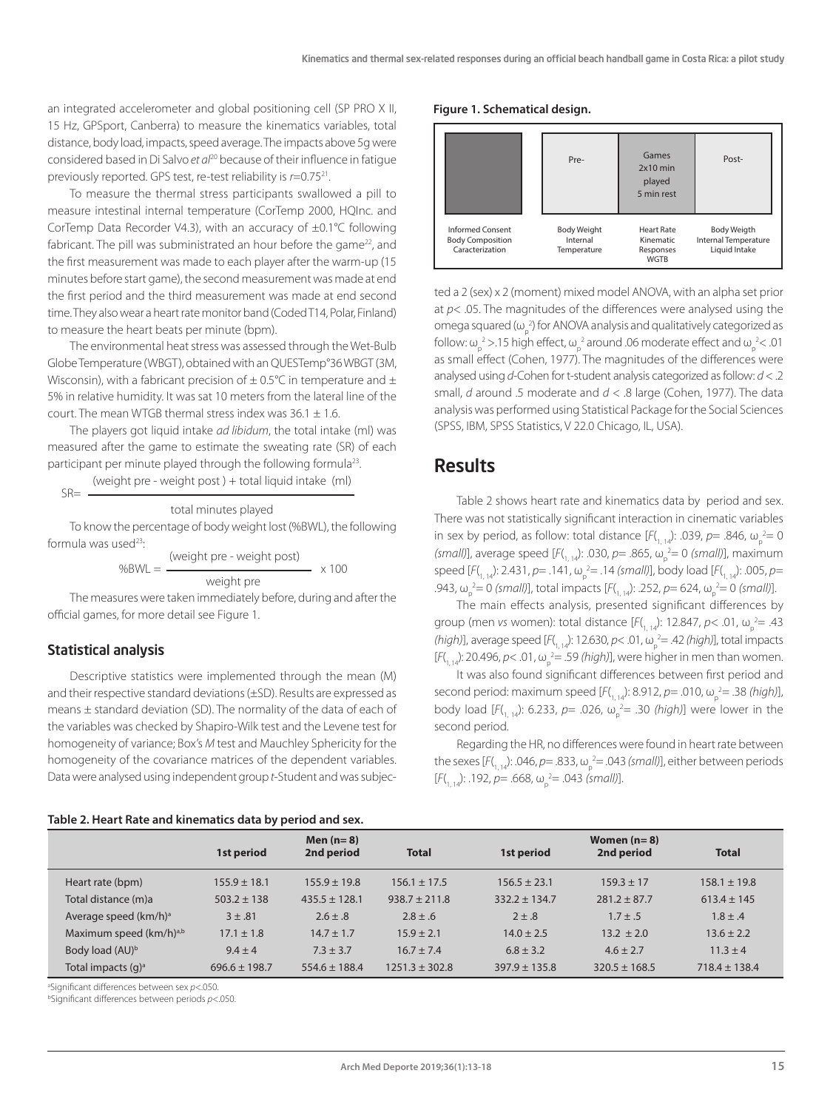an integrated accelerometer and global positioning cell (SP PRO X II, 15 Hz, GPSport, Canberra) to measure the kinematics variables, total distance, body load, impacts, speed average. The impacts above 5g were considered based in Di Salvo *et al*20 because of their influence in fatigue previously reported. GPS test, re-test reliability is *r*=0.7521.

To measure the thermal stress participants swallowed a pill to measure intestinal internal temperature (CorTemp 2000, HQInc. and CorTemp Data Recorder V4.3), with an accuracy of ±0.1°C following fabricant. The pill was subministrated an hour before the game $^{22}$ , and the first measurement was made to each player after the warm-up (15 minutes before start game), the second measurement was made at end the first period and the third measurement was made at end second time. They also wear a heart rate monitor band (Coded T14, Polar, Finland) to measure the heart beats per minute (bpm).

The environmental heat stress was assessed through the Wet-Bulb Globe Temperature (WBGT), obtained with an QUESTemp°36 WBGT (3M, Wisconsin), with a fabricant precision of  $\pm$  0.5°C in temperature and  $\pm$ 5% in relative humidity. It was sat 10 meters from the lateral line of the court. The mean WTGB thermal stress index was  $36.1 + 1.6$ .

The players got liquid intake *ad libidum*, the total intake (ml) was measured after the game to estimate the sweating rate (SR) of each participant per minute played through the following formula<sup>23</sup>.

(weight pre - weight post ) + total liquid intake (ml)  $SR =$ 

#### total minutes played

To know the percentage of body weight lost (%BWL), the following formula was used<sup>23</sup>:

 (weight pre - weight post)  $\%BWL =$   $\times 100$ weight pre

The measures were taken immediately before, during and after the official games, for more detail see Figure 1.

#### Statistical analysis

Descriptive statistics were implemented through the mean (M) and their respective standard deviations (±SD). Results are expressed as means ± standard deviation (SD). The normality of the data of each of the variables was checked by Shapiro-Wilk test and the Levene test for homogeneity of variance; Box's *M* test and Mauchley Sphericity for the homogeneity of the covariance matrices of the dependent variables. Data were analysed using independent group *t*-Student and was subjec-

#### **Table 2. Heart Rate and kinematics data by period and sex.**

#### **Figure 1. Schematical design.**



ted a 2 (sex) x 2 (moment) mixed model ANOVA, with an alpha set prior at *p*< .05. The magnitudes of the differences were analysed using the omega squared ( $\omega_p^2$ ) for ANOVA analysis and qualitatively categorized as follow: ω<sub>ρ</sub><sup>2</sup> > 15 high effect, ω<sub>ρ</sub><sup>2</sup> around .06 moderate effect and ω<sub>ρ</sub><sup>2</sup> < .01 as small effect (Cohen, 1977). The magnitudes of the differences were analysed using *d*-Cohen for t-student analysis categorized as follow: *d* < .2 small, *d* around .5 moderate and *d* < .8 large (Cohen, 1977). The data analysis was performed using Statistical Package for the Social Sciences (SPSS, IBM, SPSS Statistics, V 22.0 Chicago, IL, USA).

### **Results**

Table 2 shows heart rate and kinematics data by period and sex. There was not statistically significant interaction in cinematic variables in sex by period, as follow: total distance  $[F($ <sub>1, 14</sub> $)$ : .039, *p*= .846, ω<sub>p</sub><sup>2</sup>= 0 *(small)*], average speed [*F*(<sub>1, 14</sub>): .030, *p* = .865, ω<sub>p</sub><sup>2</sup> = 0 *(small)*], maximum speed [F(<sub>1, 14</sub>): 2.431, *p*= .141, ω<sub>p</sub><sup>2</sup>= .14 (small)], body load [F(<sub>1, 14</sub>): .005, *p*= .943, ω<sub>ρ</sub><sup>2</sup> = 0 *(small)*], total impacts [*F*(<sub>1, 14</sub>): .252, *p* = 624, ω<sub>ρ</sub><sup>2</sup> = 0 *(small)*].

The main effects analysis, presented significant differences by group (men *vs* women): total distance  $[F(1, 14)$ : 12.847,  $p$ < .01,  $\omega_p^2 = .43$ (*high*)], average speed  $[F($ <sub>1, 14</sub> $)$ : 12.630,  $p$ < .01,  $\omega_p^2$  = .42 (*high*)], total impacts  $[F(1, 14); 20.496, p< .01, \omega_p^2 = .59$  (*high*)], were higher in men than women.

It was also found significant differences between first period and second period: maximum speed [F(<sub>1, 14</sub>): 8.912, *p*= .010, ω<sub>p</sub><sup>2</sup>= .38 (high)], body load  $[F(\theta_{1, 14})$ : 6.233, p= .026,  $\omega_{p}^{2}$  = .30 *(high)*] were lower in the second period.

Regarding the HR, no differences were found in heart rate between the sexes  $[F(1, 14): .046, p=.833, \omega_p^2=.043$  *(small)*], either between periods  $[F(\mathcal{F}_{1, 14})$ : .192, *p*= .668,  $\omega_{\mathsf{p}}^2$  = .043 *(small)*].

| Table 2. Healthate and Killenlands data by period and sext |                   |                           |                    |                   |                             |                   |  |  |
|------------------------------------------------------------|-------------------|---------------------------|--------------------|-------------------|-----------------------------|-------------------|--|--|
|                                                            | 1st period        | Men $(n=8)$<br>2nd period | <b>Total</b>       | 1st period        | Women $(n=8)$<br>2nd period | <b>Total</b>      |  |  |
| Heart rate (bpm)                                           | $155.9 \pm 18.1$  | $155.9 \pm 19.8$          | $156.1 \pm 17.5$   | $156.5 \pm 23.1$  | $159.3 \pm 17$              | $158.1 \pm 19.8$  |  |  |
| Total distance (m)a                                        | $503.2 \pm 138$   | $435.5 \pm 128.1$         | $938.7 \pm 211.8$  | $332.2 \pm 134.7$ | $281.2 \pm 87.7$            | $613.4 \pm 145$   |  |  |
| Average speed (km/h) <sup>a</sup>                          | $3 \pm .81$       | $2.6 \pm .8$              | $2.8 \pm .6$       | $2 \pm .8$        | $1.7 \pm .5$                | $1.8 \pm .4$      |  |  |
| Maximum speed (km/h) <sup>a,b</sup>                        | $17.1 \pm 1.8$    | $14.7 \pm 1.7$            | $15.9 \pm 2.1$     | $14.0 \pm 2.5$    | $13.2 \pm 2.0$              | $13.6 \pm 2.2$    |  |  |
| Body load (AU) <sup>b</sup>                                | $9.4 \pm 4$       | $7.3 \pm 3.7$             | $16.7 \pm 7.4$     | $6.8 \pm 3.2$     | $4.6 \pm 2.7$               | $11.3 \pm 4$      |  |  |
| Total impacts (q) <sup>a</sup>                             | $696.6 \pm 198.7$ | $554.6 \pm 188.4$         | $1251.3 \pm 302.8$ | $397.9 \pm 135.8$ | $320.5 \pm 168.5$           | $718.4 \pm 138.4$ |  |  |

a Significant differences between sex *p*<.050.

b Significant differences between periods *p*<.050.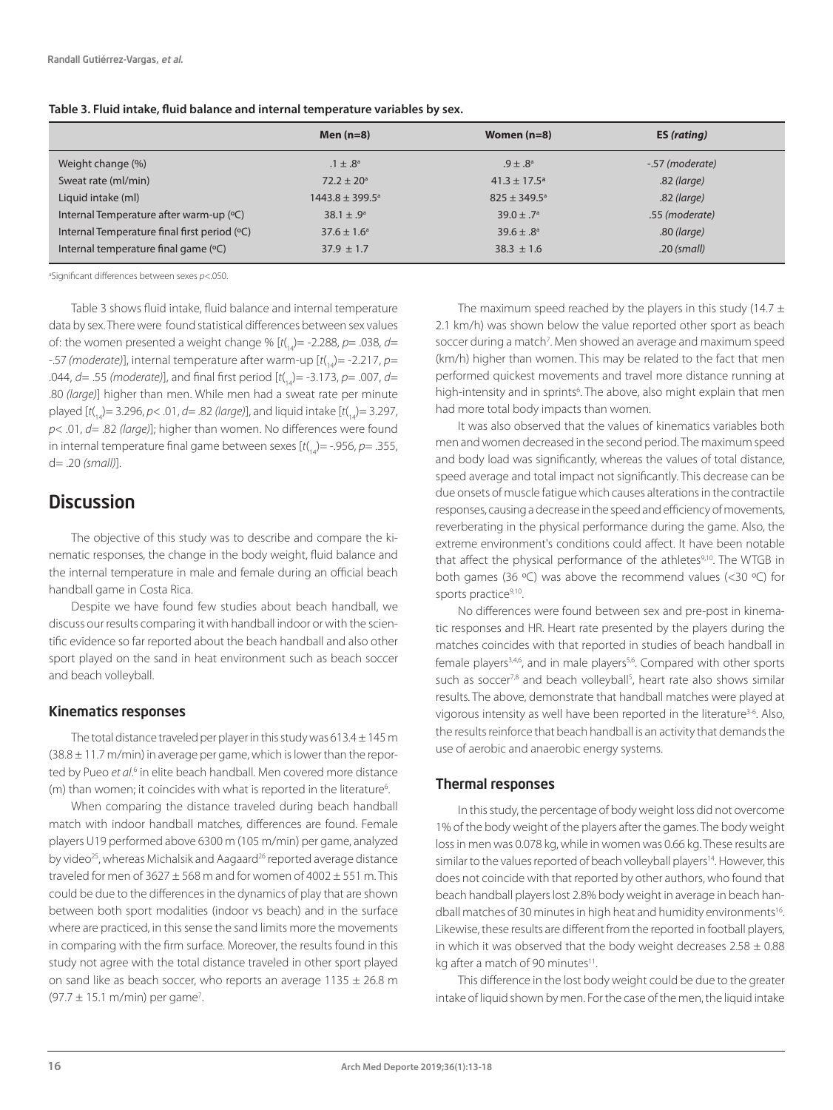|                                              | Men $(n=8)$                | Women $(n=8)$                | ES (rating)     |
|----------------------------------------------|----------------------------|------------------------------|-----------------|
| Weight change (%)                            | $.1 \pm .8^{\circ}$        | $.9 \pm .8^{\circ}$          | -.57 (moderate) |
| Sweat rate (ml/min)                          | $72.2 \pm 20^{\circ}$      | $41.3 \pm 17.5$ <sup>a</sup> | .82 (large)     |
| Liquid intake (ml)                           | $1443.8 \pm 399.5^{\circ}$ | $825 \pm 349.5^{\circ}$      | .82 (large)     |
| Internal Temperature after warm-up (°C)      | 38.1 $\pm$ .9 <sup>a</sup> | $39.0 \pm .7^{\circ}$        | .55 (moderate)  |
| Internal Temperature final first period (°C) | $37.6 \pm 1.6^{\circ}$     | $39.6 \pm .8^a$              | .80 (large)     |
| Internal temperature final game (°C)         | $37.9 \pm 1.7$             | $38.3 \pm 1.6$               | $.20$ (small)   |

#### **Table 3. Fluid intake, fluid balance and internal temperature variables by sex.**

a Significant differences between sexes *p*<.050.

Table 3 shows fluid intake, fluid balance and internal temperature data by sex. There were found statistical differences between sex values of: the women presented a weight change % [ $t$ (<sub>14</sub>) = -2.288, p = .038, d = -.57 (moderate)], internal temperature after warm-up [t(<sub>14</sub>) = -2.217, p= .044, *d*= .55 *(moderate)*], and final first period [*t*( 14)= -3.173, *p*= .007, *d*= .80 *(large)*] higher than men. While men had a sweat rate per minute played [*t*( 14)= 3.296, *p*< .01, *d*= .82 *(large)*], and liquid intake [*t*( 14)= 3.297, *p*< .01, *d*= .82 *(large)*]; higher than women. No differences were found in internal temperature final game between sexes [*t*( 14)= -.956, *p*= .355, d= .20 *(small)*].

### **Discussion**

The objective of this study was to describe and compare the kinematic responses, the change in the body weight, fluid balance and the internal temperature in male and female during an official beach handball game in Costa Rica.

Despite we have found few studies about beach handball, we discuss our results comparing it with handball indoor or with the scientific evidence so far reported about the beach handball and also other sport played on the sand in heat environment such as beach soccer and beach volleyball.

#### Kinematics responses

The total distance traveled per player in this study was  $613.4 \pm 145$  m  $(38.8 \pm 11.7 \text{ m/min})$  in average per game, which is lower than the reported by Pueo et al.<sup>6</sup> in elite beach handball. Men covered more distance (m) than women; it coincides with what is reported in the literature<sup>6</sup>. .

When comparing the distance traveled during beach handball match with indoor handball matches, differences are found. Female players U19 performed above 6300 m (105 m/min) per game, analyzed by video<sup>25</sup>, whereas Michalsik and Aagaard<sup>26</sup> reported average distance traveled for men of  $3627 \pm 568$  m and for women of  $4002 \pm 551$  m. This could be due to the differences in the dynamics of play that are shown between both sport modalities (indoor vs beach) and in the surface where are practiced, in this sense the sand limits more the movements in comparing with the firm surface. Moreover, the results found in this study not agree with the total distance traveled in other sport played on sand like as beach soccer, who reports an average  $1135 \pm 26.8$  m  $(97.7 \pm 15.1 \text{ m/min})$  per game<sup>7</sup>.

The maximum speed reached by the players in this study (14.7  $\pm$ 2.1 km/h) was shown below the value reported other sport as beach soccer during a match<sup>7</sup>. Men showed an average and maximum speed (km/h) higher than women. This may be related to the fact that men performed quickest movements and travel more distance running at high-intensity and in sprints<sup>6</sup>. The above, also might explain that men had more total body impacts than women.

It was also observed that the values of kinematics variables both men and women decreased in the second period. The maximum speed and body load was significantly, whereas the values of total distance, speed average and total impact not significantly. This decrease can be due onsets of muscle fatigue which causes alterations in the contractile responses, causing a decrease in the speed and efficiency of movements, reverberating in the physical performance during the game. Also, the extreme environment's conditions could affect. It have been notable that affect the physical performance of the athletes<sup>9,10</sup>. The WTGB in both games (36 ºC) was above the recommend values (<30 ºC) for sports practice<sup>9,10</sup>.

No differences were found between sex and pre-post in kinematic responses and HR. Heart rate presented by the players during the matches coincides with that reported in studies of beach handball in female players<sup>3,4,6</sup>, and in male players<sup>5,6</sup>. Compared with other sports such as soccer<sup>7,8</sup> and beach volleyball<sup>5</sup>, heart rate also shows similar results. The above, demonstrate that handball matches were played at vigorous intensity as well have been reported in the literature<sup>3-6</sup>. Also, the results reinforce that beach handball is an activity that demands the use of aerobic and anaerobic energy systems.

#### Thermal responses

In this study, the percentage of body weight loss did not overcome 1% of the body weight of the players after the games. The body weight loss in men was 0.078 kg, while in women was 0.66 kg. These results are similar to the values reported of beach volleyball players<sup>14</sup>. However, this does not coincide with that reported by other authors, who found that beach handball players lost 2.8% body weight in average in beach handball matches of 30 minutes in high heat and humidity environments<sup>16</sup>. Likewise, these results are different from the reported in football players, in which it was observed that the body weight decreases  $2.58 \pm 0.88$ kg after a match of 90 minutes<sup>11</sup>.

This difference in the lost body weight could be due to the greater intake of liquid shown by men. For the case of the men, the liquid intake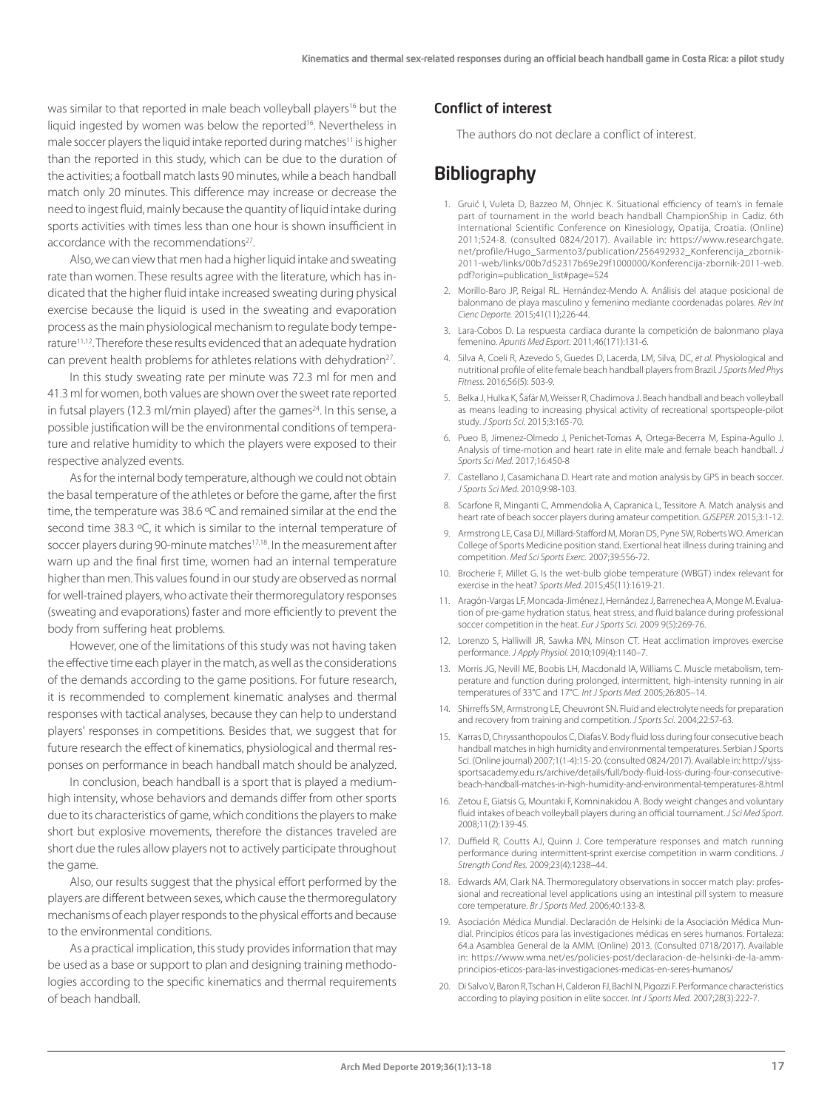was similar to that reported in male beach volleyball players<sup>16</sup> but the liquid ingested by women was below the reported<sup>16</sup>. Nevertheless in male soccer players the liquid intake reported during matches<sup>11</sup> is higher than the reported in this study, which can be due to the duration of the activities; a football match lasts 90 minutes, while a beach handball match only 20 minutes. This difference may increase or decrease the need to ingest fluid, mainly because the quantity of liquid intake during sports activities with times less than one hour is shown insufficient in accordance with the recommendations<sup>27</sup>.

Also, we can view that men had a higher liquid intake and sweating rate than women. These results agree with the literature, which has indicated that the higher fluid intake increased sweating during physical exercise because the liquid is used in the sweating and evaporation process as the main physiological mechanism to regulate body temperature11,12. Therefore these results evidenced that an adequate hydration can prevent health problems for athletes relations with dehydration<sup>27</sup>.

In this study sweating rate per minute was 72.3 ml for men and 41.3 ml for women, both values are shown over the sweet rate reported in futsal players (12.3 ml/min played) after the games<sup>24</sup>. In this sense, a possible justification will be the environmental conditions of temperature and relative humidity to which the players were exposed to their respective analyzed events.

As for the internal body temperature, although we could not obtain the basal temperature of the athletes or before the game, after the first time, the temperature was 38.6 ºC and remained similar at the end the second time 38.3 ºC, it which is similar to the internal temperature of soccer players during 90-minute matches<sup>17,18</sup>. In the measurement after warn up and the final first time, women had an internal temperature higher than men. This values found in our study are observed as normal for well-trained players, who activate their thermoregulatory responses (sweating and evaporations) faster and more efficiently to prevent the body from suffering heat problems.

However, one of the limitations of this study was not having taken the effective time each player in the match, as well as the considerations of the demands according to the game positions. For future research, it is recommended to complement kinematic analyses and thermal responses with tactical analyses, because they can help to understand players' responses in competitions. Besides that, we suggest that for future research the effect of kinematics, physiological and thermal responses on performance in beach handball match should be analyzed.

In conclusion, beach handball is a sport that is played a mediumhigh intensity, whose behaviors and demands differ from other sports due to its characteristics of game, which conditions the players to make short but explosive movements, therefore the distances traveled are short due the rules allow players not to actively participate throughout the game.

Also, our results suggest that the physical effort performed by the players are different between sexes, which cause the thermoregulatory mechanisms of each player responds to the physical efforts and because to the environmental conditions.

As a practical implication, this study provides information that may be used as a base or support to plan and designing training methodologies according to the specific kinematics and thermal requirements of beach handball.

#### Conflict of interest

The authors do not declare a conflict of interest.

## **Bibliography**

- 1. Gruić I, Vuleta D, Bazzeo M, Ohnjec K. Situational efficiency of team's in female part of tournament in the world beach handball ChampionShip in Cadiz. 6th International Scientific Conference on Kinesiology, Opatija, Croatia. (Online) 2011;524-8. (consulted 0824/2017). Available in: https://www.researchgate. net/profile/Hugo\_Sarmento3/publication/256492932\_Konferencija\_zbornik-2011-web/links/00b7d52317b69e29f1000000/Konferencija-zbornik-2011-web. pdf?origin=publication\_list#page=524
- 2. Morillo-Baro JP, Reigal RL. Hernández-Mendo A. Análisis del ataque posicional de balonmano de playa masculino y femenino mediante coordenadas polares. *Rev Int Cienc Deporte.* 2015;41(11);226-44.
- 3. Lara-Cobos D. La respuesta cardiaca durante la competición de balonmano playa femenino. *Apunts Med Esport.* 2011;46(171):131-6.
- 4. Silva A, Coeli R, Azevedo S, Guedes D, Lacerda, LM, Silva, DC, *et al.* Physiological and nutritional profile of elite female beach handball players from Brazil. *J Sports Med Phys Fitness.* 2016;56(5): 503-9.
- 5. Belka J, Hulka K, Šafár M, Weisser R, Chadimova J. Beach handball and beach volleyball as means leading to increasing physical activity of recreational sportspeople-pilot study. *J Sports Sci.* 2015;3:165-70.
- 6. Pueo B, Jimenez-Olmedo J, Penichet-Tomas A, Ortega-Becerra M, Espina-Agullo J. Analysis of time-motion and heart rate in elite male and female beach handball. *J Sports Sci Med.* 2017;16:450-8
- 7. Castellano J, Casamichana D. Heart rate and motion analysis by GPS in beach soccer. *J Sports Sci Med*. 2010;9:98-103.
- 8. Scarfone R, Minganti C, Ammendolia A, Capranica L, Tessitore A. Match analysis and heart rate of beach soccer players during amateur competition. *GJSEPER.* 2015;3:1-12.
- 9. Armstrong LE, Casa DJ, Millard-Stafford M, Moran DS, Pyne SW, Roberts WO. American College of Sports Medicine position stand. Exertional heat illness during training and competition. *Med Sci Sports Exerc.* 2007;39:556-72.
- 10. Brocherie F, Millet G. Is the wet-bulb globe temperature (WBGT) index relevant for exercise in the heat? *Sports Med.* 2015;45(11):1619-21.
- 11. Aragón-Vargas LF, Moncada-Jiménez J, Hernández J, Barrenechea A, Monge M. Evaluation of pre-game hydration status, heat stress, and fluid balance during professional soccer competition in the heat. *Eur J Sports Sci.* 2009 9(5):269-76.
- 12. Lorenzo S, Halliwill JR, Sawka MN, Minson CT. Heat acclimation improves exercise performance. *J Apply Physiol.* 2010;109(4):1140–7.
- 13. Morris JG, Nevill ME, Boobis LH, Macdonald IA, Williams C. Muscle metabolism, temperature and function during prolonged, intermittent, high-intensity running in air temperatures of 33°C and 17°C. *Int J Sports Med.* 2005;26:805–14.
- 14. Shirreffs SM, Armstrong LE, Cheuvront SN. Fluid and electrolyte needs for preparation and recovery from training and competition. *J Sports Sci.* 2004;22:57-63.
- 15. Karras D, Chryssanthopoulos C, Diafas V. Body fluid loss during four consecutive beach handball matches in high humidity and environmental temperatures. Serbian J Sports Sci. (Online journal) 2007;1(1-4):15-20. (consulted 0824/2017). Available in: http://sjsssportsacademy.edu.rs/archive/details/full/body-fluid-loss-during-four-consecutivebeach-handball-matches-in-high-humidity-and-environmental-temperatures-8.html
- 16. Zetou E, Giatsis G, Mountaki F, Komninakidou A. Body weight changes and voluntary fluid intakes of beach volleyball players during an official tournament. *J Sci Med Sport.*  2008;11(2):139-45.
- 17. Duffield R, Coutts AJ, Quinn J. Core temperature responses and match running performance during intermittent-sprint exercise competition in warm conditions. *J Strength Cond Res.* 2009;23(4):1238–44.
- 18. Edwards AM, Clark NA. Thermoregulatory observations in soccer match play: professional and recreational level applications using an intestinal pill system to measure core temperature. *Br J Sports Med.* 2006;40:133-8.
- 19. Asociación Médica Mundial. Declaración de Helsinki de la Asociación Médica Mundial. Principios éticos para las investigaciones médicas en seres humanos. Fortaleza: 64.a Asamblea General de la AMM. (Online) 2013. (Consulted 0718/2017). Available in: https://www.wma.net/es/policies-post/declaracion-de-helsinki-de-la-ammprincipios-eticos-para-las-investigaciones-medicas-en-seres-humanos/
- 20. Di Salvo V, Baron R, Tschan H, Calderon FJ, Bachl N, Pigozzi F. Performance characteristics according to playing position in elite soccer. *Int J Sports Med.* 2007;28(3):222-7.